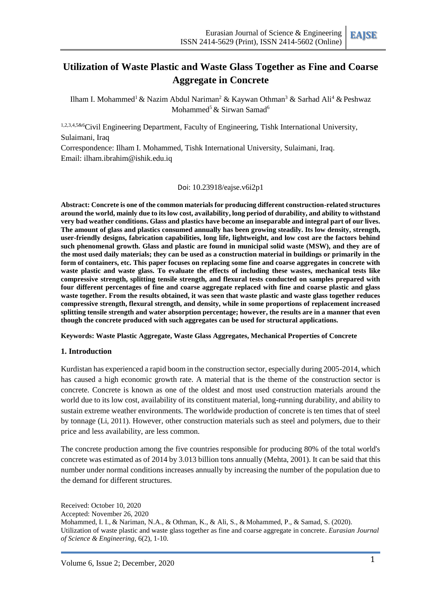

# **Utilization of Waste Plastic and Waste Glass Together as Fine and Coarse Aggregate in Concrete**

Ilham I. Mohammed<sup>1</sup> & Nazim Abdul Nariman<sup>2</sup> & Kaywan Othman<sup>3</sup> & Sarhad Ali<sup>4</sup> & Peshwaz Mohammed<sup>5</sup> & Sirwan Samad<sup>6</sup>

1,2,3,4,5&6Civil Engineering Department, Faculty of Engineering, Tishk International University, Sulaimani, Iraq

Correspondence: Ilham I. Mohammed, Tishk International University, Sulaimani, Iraq. Email: ilham.ibrahim@ishik.edu.iq

Doi: 10.23918/eajse.v6i2p1

**Abstract: Concrete is one of the common materials for producing different construction-related structures around the world, mainly due to its low cost, availability, long period of durability, and ability to withstand very bad weather conditions. Glass and plastics have become an inseparable and integral part of our lives. The amount of glass and plastics consumed annually has been growing steadily. Its low density, strength, user-friendly designs, fabrication capabilities, long life, lightweight, and low cost are the factors behind such phenomenal growth. Glass and plastic are found in municipal solid waste (MSW), and they are of the most used daily materials; they can be used as a construction material in buildings or primarily in the form of containers, etc. This paper focuses on replacing some fine and coarse aggregates in concrete with waste plastic and waste glass. To evaluate the effects of including these wastes, mechanical tests like compressive strength, splitting tensile strength, and flexural tests conducted on samples prepared with four different percentages of fine and coarse aggregate replaced with fine and coarse plastic and glass waste together. From the results obtained, it was seen that waste plastic and waste glass together reduces compressive strength, flexural strength, and density, while in some proportions of replacement increased splitting tensile strength and water absorption percentage; however, the results are in a manner that even though the concrete produced with such aggregates can be used for structural applications.**

**Keywords: Waste Plastic Aggregate, Waste Glass Aggregates, Mechanical Properties of Concrete**

#### **1. Introduction**

Kurdistan has experienced a rapid boom in the construction sector, especially during 2005-2014, which has caused a high economic growth rate. A material that is the theme of the construction sector is concrete. Concrete is known as one of the oldest and most used construction materials around the world due to its low cost, availability of its constituent material, long-running durability, and ability to sustain extreme weather environments. The worldwide production of concrete is ten times that of steel by tonnage (Li, 2011). However, other construction materials such as steel and polymers, due to their price and less availability, are less common.

The concrete production among the five countries responsible for producing 80% of the total world's concrete was estimated as of 2014 by 3.013 billion tons annually (Mehta, 2001). It can be said that this number under normal conditions increases annually by increasing the number of the population due to the demand for different structures.

Received: October 10, 2020 Accepted: November 26, 2020 Mohammed, I. I., & Nariman, N.A., & Othman, K., & Ali, S., & Mohammed, P., & Samad, S. (2020). Utilization of waste plastic and waste glass together as fine and coarse aggregate in concrete. *Eurasian Journal of Science & Engineering,* 6(2), 1-10.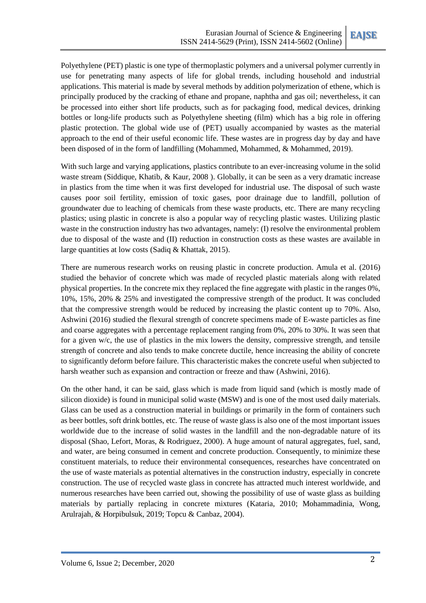Polyethylene (PET) plastic is one type of thermoplastic polymers and a universal polymer currently in use for penetrating many aspects of life for global trends, including household and industrial applications. This material is made by several methods by addition polymerization of ethene, which is principally produced by the cracking of ethane and propane, naphtha and gas oil; nevertheless, it can be processed into either short life products, such as for packaging food, medical devices, drinking bottles or long-life products such as Polyethylene sheeting (film) which has a big role in offering plastic protection. The global wide use of (PET) usually accompanied by wastes as the material approach to the end of their useful economic life. These wastes are in progress day by day and have been disposed of in the form of landfilling (Mohammed, Mohammed, & Mohammed, 2019).

With such large and varying applications, plastics contribute to an ever-increasing volume in the solid waste stream (Siddique, Khatib, & Kaur, 2008 ). Globally, it can be seen as a very dramatic increase in plastics from the time when it was first developed for industrial use. The disposal of such waste causes poor soil fertility, emission of toxic gases, poor drainage due to landfill, pollution of groundwater due to leaching of chemicals from these waste products, etc. There are many recycling plastics; using plastic in concrete is also a popular way of recycling plastic wastes. Utilizing plastic waste in the construction industry has two advantages, namely: (I) resolve the environmental problem due to disposal of the waste and (II) reduction in construction costs as these wastes are available in large quantities at low costs (Sadiq & Khattak, 2015).

There are numerous research works on reusing plastic in concrete production. Amula et al. (2016) studied the behavior of concrete which was made of recycled plastic materials along with related physical properties. In the concrete mix they replaced the fine aggregate with plastic in the ranges 0%, 10%, 15%, 20% & 25% and investigated the compressive strength of the product. It was concluded that the compressive strength would be reduced by increasing the plastic content up to 70%. Also, Ashwini (2016) studied the flexural strength of concrete specimens made of E-waste particles as fine and coarse aggregates with a percentage replacement ranging from 0%, 20% to 30%. It was seen that for a given w/c, the use of plastics in the mix lowers the density, compressive strength, and tensile strength of concrete and also tends to make concrete ductile, hence increasing the ability of concrete to significantly deform before failure. This characteristic makes the concrete useful when subjected to harsh weather such as expansion and contraction or freeze and thaw (Ashwini, 2016).

On the other hand, it can be said, glass which is made from liquid sand (which is mostly made of silicon dioxide) is found in municipal solid waste (MSW) and is one of the most used daily materials. Glass can be used as a construction material in buildings or primarily in the form of containers such as beer bottles, soft drink bottles, etc. The reuse of waste glass is also one of the most important issues worldwide due to the increase of solid wastes in the landfill and the non-degradable nature of its disposal (Shao, Lefort, Moras, & Rodriguez, 2000). A huge amount of natural aggregates, fuel, sand, and water, are being consumed in cement and concrete production. Consequently, to minimize these constituent materials, to reduce their environmental consequences, researches have concentrated on the use of waste materials as potential alternatives in the construction industry, especially in concrete construction. The use of recycled waste glass in concrete has attracted much interest worldwide, and numerous researches have been carried out, showing the possibility of use of waste glass as building materials by partially replacing in concrete mixtures (Kataria, 2010; Mohammadinia, Wong, Arulrajah, & Horpibulsuk, 2019; Topcu & Canbaz, 2004).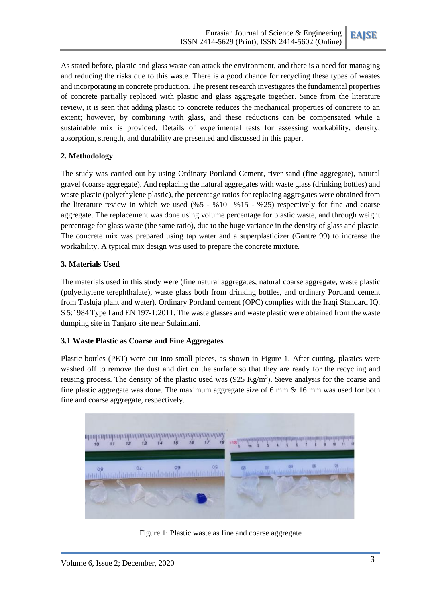

As stated before, plastic and glass waste can attack the environment, and there is a need for managing and reducing the risks due to this waste. There is a good chance for recycling these types of wastes and incorporating in concrete production. The present research investigates the fundamental properties of concrete partially replaced with plastic and glass aggregate together. Since from the literature review, it is seen that adding plastic to concrete reduces the mechanical properties of concrete to an extent; however, by combining with glass, and these reductions can be compensated while a sustainable mix is provided. Details of experimental tests for assessing workability, density, absorption, strength, and durability are presented and discussed in this paper.

## **2. Methodology**

The study was carried out by using Ordinary Portland Cement, river sand (fine aggregate), natural gravel (coarse aggregate). And replacing the natural aggregates with waste glass (drinking bottles) and waste plastic (polyethylene plastic), the percentage ratios for replacing aggregates were obtained from the literature review in which we used  $(\%5 - \%10 - \%15 - \%25)$  respectively for fine and coarse aggregate. The replacement was done using volume percentage for plastic waste, and through weight percentage for glass waste (the same ratio), due to the huge variance in the density of glass and plastic. The concrete mix was prepared using tap water and a superplasticizer (Gantre 99) to increase the workability. A typical mix design was used to prepare the concrete mixture.

## **3. Materials Used**

The materials used in this study were (fine natural aggregates, natural coarse aggregate, waste plastic (polyethylene terephthalate), waste glass both from drinking bottles, and ordinary Portland cement from Tasluja plant and water). Ordinary Portland cement (OPC) complies with the Iraqi Standard IQ. S 5:1984 Type I and EN 197-1:2011. The waste glasses and waste plastic were obtained from the waste dumping site in Tanjaro site near Sulaimani.

### **3.1 Waste Plastic as Coarse and Fine Aggregates**

Plastic bottles (PET) were cut into small pieces, as shown in Figure 1. After cutting, plastics were washed off to remove the dust and dirt on the surface so that they are ready for the recycling and reusing process. The density of the plastic used was  $(925 \text{ Kg/m}^3)$ . Sieve analysis for the coarse and fine plastic aggregate was done. The maximum aggregate size of 6 mm & 16 mm was used for both fine and coarse aggregate, respectively.



Figure 1: Plastic waste as fine and coarse aggregate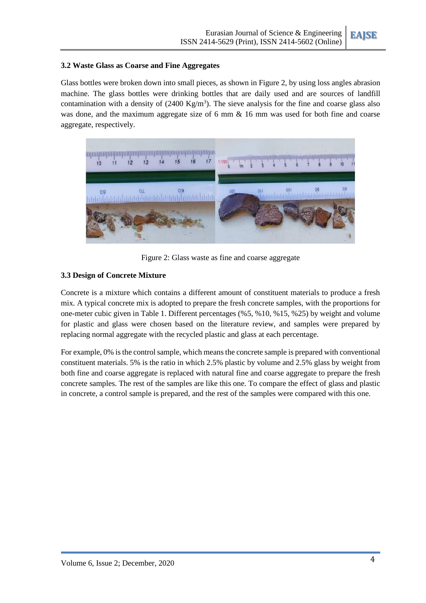

#### **3.2 Waste Glass as Coarse and Fine Aggregates**

Glass bottles were broken down into small pieces, as shown in Figure 2, by using loss angles abrasion machine. The glass bottles were drinking bottles that are daily used and are sources of landfill contamination with a density of  $(2400 \text{ Kg/m}^3)$ . The sieve analysis for the fine and coarse glass also was done, and the maximum aggregate size of 6 mm  $\&$  16 mm was used for both fine and coarse aggregate, respectively.



Figure 2: Glass waste as fine and coarse aggregate

#### **3.3 Design of Concrete Mixture**

Concrete is a mixture which contains a different amount of constituent materials to produce a fresh mix. A typical concrete mix is adopted to prepare the fresh concrete samples, with the proportions for one-meter cubic given in Table 1. Different percentages (%5, %10, %15, %25) by weight and volume for plastic and glass were chosen based on the literature review, and samples were prepared by replacing normal aggregate with the recycled plastic and glass at each percentage.

For example, 0% is the control sample, which means the concrete sample is prepared with conventional constituent materials. 5% is the ratio in which 2.5% plastic by volume and 2.5% glass by weight from both fine and coarse aggregate is replaced with natural fine and coarse aggregate to prepare the fresh concrete samples. The rest of the samples are like this one. To compare the effect of glass and plastic in concrete, a control sample is prepared, and the rest of the samples were compared with this one.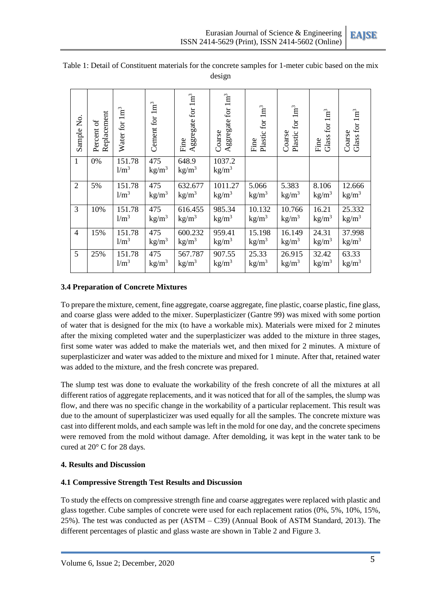

| Sample No.     | Replacement<br>$\mathfrak{b}$<br>Percent | $1 {\rm m}^3$<br>Water for | $1 \mathrm{m}^3$<br>Cement for | Aggregate for $1 \text{m}^3$<br>Fine | Aggregate for $1 \text{m}^3$<br>Coarse | Plastic for 1m <sup>3</sup><br>Fine | Plastic for 1m <sup>3</sup><br>Coarse | Glass for $1m3$<br>Fine    | Glass for $1m3$<br>Coarse   |
|----------------|------------------------------------------|----------------------------|--------------------------------|--------------------------------------|----------------------------------------|-------------------------------------|---------------------------------------|----------------------------|-----------------------------|
| $\mathbf{1}$   | 0%                                       | 151.78<br>1/m <sup>3</sup> | 475<br>kg/m <sup>3</sup>       | 648.9<br>$\text{kg/m}^3$             | 1037.2<br>$\text{kg/m}^3$              |                                     |                                       |                            |                             |
| $\overline{2}$ | 5%                                       | 151.78<br>1/m <sup>3</sup> | 475<br>kg/m <sup>3</sup>       | 632.677<br>$\text{kg/m}^3$           | 1011.27<br>$\text{kg/m}^3$             | 5.066<br>$\text{kg/m}^3$            | 5.383<br>$\text{kg/m}^3$              | 8.106<br>kg/m <sup>3</sup> | 12.666<br>$\text{kg/m}^3$   |
| 3              | 10%                                      | 151.78<br>1/m <sup>3</sup> | 475<br>kg/m <sup>3</sup>       | 616.455<br>kg/m <sup>3</sup>         | 985.34<br>$\text{kg/m}^3$              | 10.132<br>kg/m <sup>3</sup>         | 10.766<br>$\text{kg/m}^3$             | 16.21<br>$\text{kg/m}^3$   | 25.332<br>kg/m <sup>3</sup> |
| $\overline{4}$ | 15%                                      | 151.78<br>1/m <sup>3</sup> | 475<br>$\text{kg/m}^3$         | 600.232<br>kg/m <sup>3</sup>         | 959.41<br>$\text{kg/m}^3$              | 15.198<br>kg/m <sup>3</sup>         | 16.149<br>$\text{kg/m}^3$             | 24.31<br>kg/m <sup>3</sup> | 37.998<br>kg/m <sup>3</sup> |
| 5              | 25%                                      | 151.78<br>1/m <sup>3</sup> | 475<br>kg/m <sup>3</sup>       | 567.787<br>$\text{kg/m}^3$           | 907.55<br>$\text{kg/m}^3$              | 25.33<br>kg/m <sup>3</sup>          | 26.915<br>kg/m <sup>3</sup>           | 32.42<br>kg/m <sup>3</sup> | 63.33<br>$\text{kg/m}^3$    |

#### Table 1: Detail of Constituent materials for the concrete samples for 1-meter cubic based on the mix design

## **3.4 Preparation of Concrete Mixtures**

To prepare the mixture, cement, fine aggregate, coarse aggregate, fine plastic, coarse plastic, fine glass, and coarse glass were added to the mixer. Superplasticizer (Gantre 99) was mixed with some portion of water that is designed for the mix (to have a workable mix). Materials were mixed for 2 minutes after the mixing completed water and the superplasticizer was added to the mixture in three stages, first some water was added to make the materials wet, and then mixed for 2 minutes. A mixture of superplasticizer and water was added to the mixture and mixed for 1 minute. After that, retained water was added to the mixture, and the fresh concrete was prepared.

The slump test was done to evaluate the workability of the fresh concrete of all the mixtures at all different ratios of aggregate replacements, and it was noticed that for all of the samples, the slump was flow, and there was no specific change in the workability of a particular replacement. This result was due to the amount of superplasticizer was used equally for all the samples. The concrete mixture was cast into different molds, and each sample was left in the mold for one day, and the concrete specimens were removed from the mold without damage. After demolding, it was kept in the water tank to be cured at 20° C for 28 days.

### **4. Results and Discussion**

# **4.1 Compressive Strength Test Results and Discussion**

To study the effects on compressive strength fine and coarse aggregates were replaced with plastic and glass together. Cube samples of concrete were used for each replacement ratios (0%, 5%, 10%, 15%, 25%). The test was conducted as per (ASTM – C39) (Annual Book of ASTM Standard, 2013). The different percentages of plastic and glass waste are shown in Table 2 and Figure 3.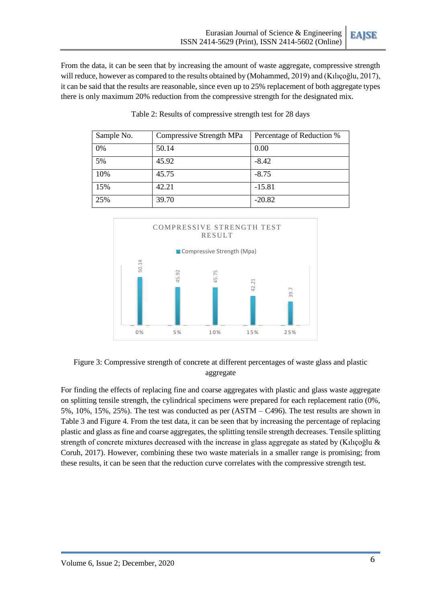**EAJSE**

From the data, it can be seen that by increasing the amount of waste aggregate, compressive strength will reduce, however as compared to the results obtained by (Mohammed, 2019) and (Kılıçoğlu, 2017), it can be said that the results are reasonable, since even up to 25% replacement of both aggregate types there is only maximum 20% reduction from the compressive strength for the designated mix.

| Sample No. | Compressive Strength MPa | Percentage of Reduction % |
|------------|--------------------------|---------------------------|
| 0%         | 50.14                    | 0.00                      |
| 5%         | 45.92                    | $-8.42$                   |
| 10%        | 45.75                    | $-8.75$                   |
| 15%        | 42.21                    | $-15.81$                  |
| 25%        | 39.70                    | $-20.82$                  |

Table 2: Results of compressive strength test for 28 days



Figure 3: Compressive strength of concrete at different percentages of waste glass and plastic aggregate

For finding the effects of replacing fine and coarse aggregates with plastic and glass waste aggregate on splitting tensile strength, the cylindrical specimens were prepared for each replacement ratio (0%, 5%, 10%, 15%, 25%). The test was conducted as per (ASTM – C496). The test results are shown in Table 3 and Figure 4. From the test data, it can be seen that by increasing the percentage of replacing plastic and glass as fine and coarse aggregates, the splitting tensile strength decreases. Tensile splitting strength of concrete mixtures decreased with the increase in glass aggregate as stated by (Kılıçoğlu & Coruh, 2017). However, combining these two waste materials in a smaller range is promising; from these results, it can be seen that the reduction curve correlates with the compressive strength test.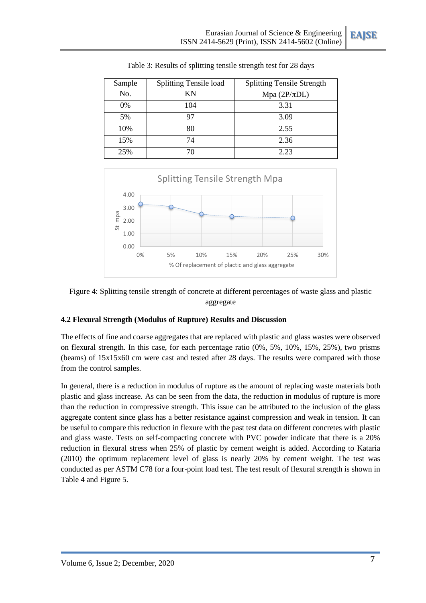**EAJSE**

| Sample | <b>Splitting Tensile load</b> | <b>Splitting Tensile Strength</b> |
|--------|-------------------------------|-----------------------------------|
| No.    | ΚN                            | Mpa $(2P/\pi DL)$                 |
| $0\%$  | 104                           | 3.31                              |
| 5%     | 97                            | 3.09                              |
| 10%    | 80                            | 2.55                              |
| 15%    | 74                            | 2.36                              |
| 25%    | 70                            | 2.23                              |

Table 3: Results of splitting tensile strength test for 28 days



### Figure 4: Splitting tensile strength of concrete at different percentages of waste glass and plastic aggregate

### **4.2 Flexural Strength (Modulus of Rupture) Results and Discussion**

The effects of fine and coarse aggregates that are replaced with plastic and glass wastes were observed on flexural strength. In this case, for each percentage ratio (0%, 5%, 10%, 15%, 25%), two prisms (beams) of 15x15x60 cm were cast and tested after 28 days. The results were compared with those from the control samples.

In general, there is a reduction in modulus of rupture as the amount of replacing waste materials both plastic and glass increase. As can be seen from the data, the reduction in modulus of rupture is more than the reduction in compressive strength. This issue can be attributed to the inclusion of the glass aggregate content since glass has a better resistance against compression and weak in tension. It can be useful to compare this reduction in flexure with the past test data on different concretes with plastic and glass waste. Tests on self-compacting concrete with PVC powder indicate that there is a 20% reduction in flexural stress when 25% of plastic by cement weight is added. According to Kataria (2010) the optimum replacement level of glass is nearly 20% by cement weight. The test was conducted as per ASTM C78 for a four-point load test. The test result of flexural strength is shown in Table 4 and Figure 5.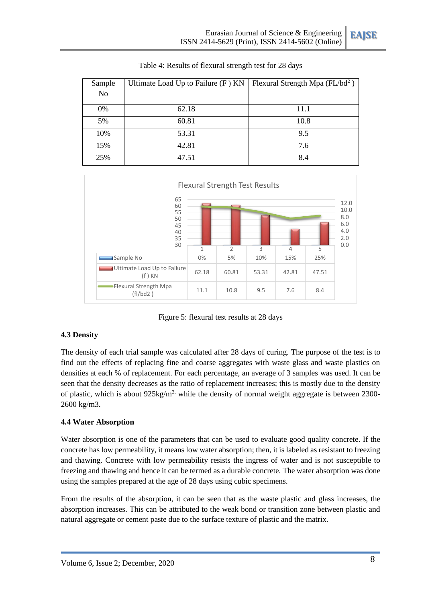| Sample         | Ultimate Load Up to Failure $(F)$ KN | Flexural Strength Mpa $(FL/bd^2)$ |
|----------------|--------------------------------------|-----------------------------------|
| N <sub>o</sub> |                                      |                                   |
| 0%             | 62.18                                | 11.1                              |
| 5%             | 60.81                                | 10.8                              |
| 10%            | 53.31                                | 9.5                               |
| 15%            | 42.81                                | 7.6                               |
| 25%            | 47.51                                | 8.4                               |

| Table 4: Results of flexural strength test for 28 days |  |  |
|--------------------------------------------------------|--|--|
|--------------------------------------------------------|--|--|



Figure 5: flexural test results at 28 days

### **4.3 Density**

The density of each trial sample was calculated after 28 days of curing. The purpose of the test is to find out the effects of replacing fine and coarse aggregates with waste glass and waste plastics on densities at each % of replacement. For each percentage, an average of 3 samples was used. It can be seen that the density decreases as the ratio of replacement increases; this is mostly due to the density of plastic, which is about 925kg/m<sup>3,</sup> while the density of normal weight aggregate is between 2300-2600 kg/m3.

# **4.4 Water Absorption**

Water absorption is one of the parameters that can be used to evaluate good quality concrete. If the concrete has low permeability, it means low water absorption; then, it is labeled as resistant to freezing and thawing. Concrete with low permeability resists the ingress of water and is not susceptible to freezing and thawing and hence it can be termed as a durable concrete. The water absorption was done using the samples prepared at the age of 28 days using cubic specimens.

From the results of the absorption, it can be seen that as the waste plastic and glass increases, the absorption increases. This can be attributed to the weak bond or transition zone between plastic and natural aggregate or cement paste due to the surface texture of plastic and the matrix.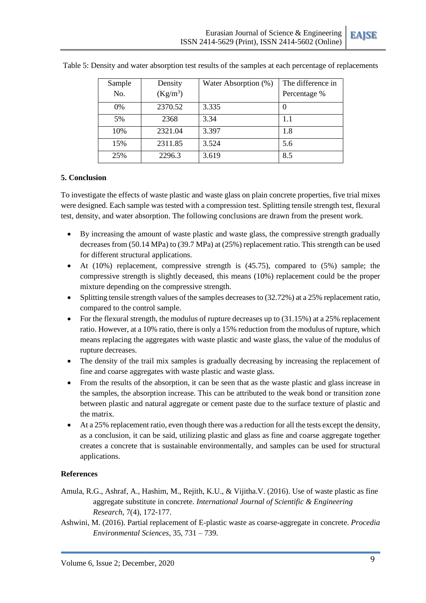

| Sample | Density    | Water Absorption (%) | The difference in |
|--------|------------|----------------------|-------------------|
| No.    | $(Kg/m^3)$ |                      | Percentage %      |
| 0%     | 2370.52    | 3.335                |                   |
| 5%     | 2368       | 3.34                 | 1.1               |
| 10%    | 2321.04    | 3.397                | 1.8               |
| 15%    | 2311.85    | 3.524                | 5.6               |
| 25%    | 2296.3     | 3.619                | 8.5               |

Table 5: Density and water absorption test results of the samples at each percentage of replacements

#### **5. Conclusion**

To investigate the effects of waste plastic and waste glass on plain concrete properties, five trial mixes were designed. Each sample was tested with a compression test. Splitting tensile strength test, flexural test, density, and water absorption. The following conclusions are drawn from the present work.

- By increasing the amount of waste plastic and waste glass, the compressive strength gradually decreases from (50.14 MPa) to (39.7 MPa) at (25%) replacement ratio. This strength can be used for different structural applications.
- At (10%) replacement, compressive strength is (45.75), compared to (5%) sample; the compressive strength is slightly deceased, this means (10%) replacement could be the proper mixture depending on the compressive strength.
- Splitting tensile strength values of the samples decreases to (32.72%) at a 25% replacement ratio, compared to the control sample.
- For the flexural strength, the modulus of rupture decreases up to (31.15%) at a 25% replacement ratio. However, at a 10% ratio, there is only a 15% reduction from the modulus of rupture, which means replacing the aggregates with waste plastic and waste glass, the value of the modulus of rupture decreases.
- The density of the trail mix samples is gradually decreasing by increasing the replacement of fine and coarse aggregates with waste plastic and waste glass.
- From the results of the absorption, it can be seen that as the waste plastic and glass increase in the samples, the absorption increase. This can be attributed to the weak bond or transition zone between plastic and natural aggregate or cement paste due to the surface texture of plastic and the matrix.
- At a 25% replacement ratio, even though there was a reduction for all the tests except the density, as a conclusion, it can be said, utilizing plastic and glass as fine and coarse aggregate together creates a concrete that is sustainable environmentally, and samples can be used for structural applications.

### **References**

- Amula, R.G., Ashraf, A., Hashim, M., Rejith, K.U., & Vijitha.V. (2016). Use of waste plastic as fine aggregate substitute in concrete. *International Journal of Scientific & Engineering Research*, 7(4), 172-177.
- Ashwini, M. (2016). Partial replacement of E-plastic waste as coarse-aggregate in concrete. *Procedia Environmental Sciences*, 35, 731 – 739.